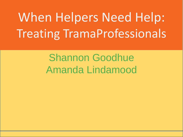# When Helpers Need Help: Treating TramaProfessionals

# Shannon Goodhue Amanda Lindamood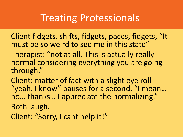# Treating Professionals

Client fidgets, shifts, fidgets, paces, fidgets, "It must be so weird to see me in this state"

Therapist: "not at all. This is actually really normal considering everything you are going through."

Client: matter of fact with a slight eye roll "yeah. I know" pauses for a second, "I mean… no… thanks… I appreciate the normalizing." Both laugh. Client: "Sorry, I cant help it!"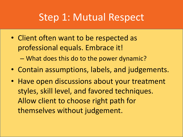#### Step 1: Mutual Respect

- Client often want to be respected as professional equals. Embrace it! – What does this do to the power dynamic?
- Contain assumptions, labels, and judgements.
- Have open discussions about your treatment styles, skill level, and favored techniques. Allow client to choose right path for themselves without judgement.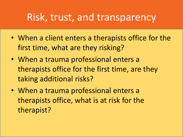#### Risk, trust, and transparency

- When a client enters a therapists office for the first time, what are they risking?
- When a trauma professional enters a therapists office for the first time, are they taking additional risks?
- When a trauma professional enters a therapists office, what is at risk for the therapist?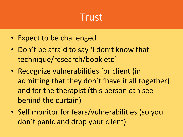## **Trust**

- Expect to be challenged
- Don't be afraid to say 'I don't know that technique/research/book etc'
- Recognize vulnerabilities for client (in admitting that they don't 'have it all together) and for the therapist (this person can see behind the curtain)
- Self monitor for fears/vulnerabilities (so you don't panic and drop your client)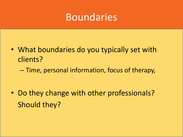#### Boundaries

- What boundaries do you typically set with clients?
	- Time, personal information, focus of therapy,

• Do they change with other professionals? Should they?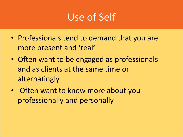# Use of Self

- Professionals tend to demand that you are more present and 'real'
- Often want to be engaged as professionals and as clients at the same time or alternatingly
- Often want to know more about you professionally and personally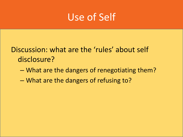#### Use of Self

Discussion: what are the 'rules' about self disclosure?

- What are the dangers of renegotiating them?
- What are the dangers of refusing to?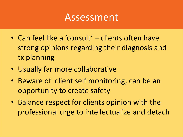#### Assessment

- Can feel like a 'consult' clients often have strong opinions regarding their diagnosis and tx planning
- Usually far more collaborative
- Beware of client self monitoring, can be an opportunity to create safety
- Balance respect for clients opinion with the professional urge to intellectualize and detach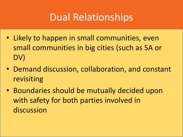# Dual Relationships

- Likely to happen in small communities, even small communities in big cities (such as SA or DV)
- Demand discussion, collaboration, and constant revisiting
- Boundaries should be mutually decided upon with safety for both parties involved in discussion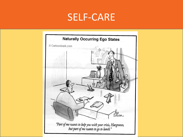#### SELF-CARE

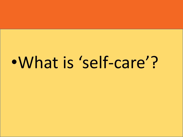# •What is 'self-care'?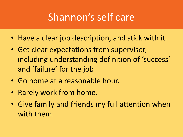# Shannon's self care

- Have a clear job description, and stick with it.
- Get clear expectations from supervisor, including understanding definition of 'success' and 'failure' for the job
- Go home at a reasonable hour.
- Rarely work from home.
- Give family and friends my full attention when with them.